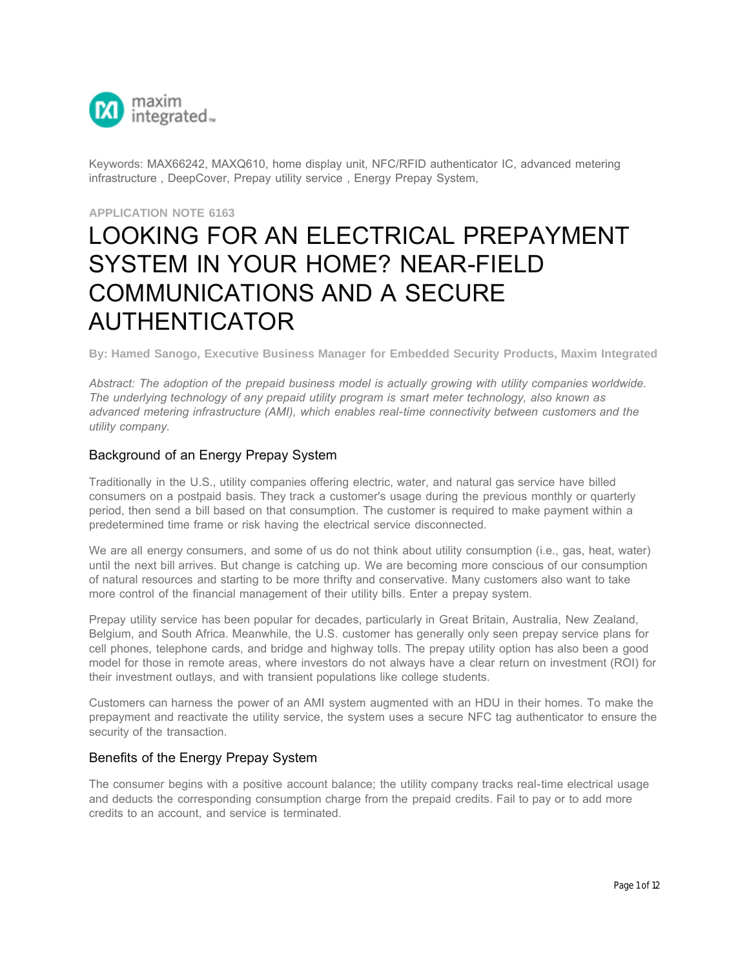

Keywords: MAX66242, MAXQ610, home display unit, NFC/RFID authenticator IC, advanced metering infrastructure , DeepCover, Prepay utility service , Energy Prepay System,

**APPLICATION NOTE 6163**

# [LOOKING F](https://www.maximintegrated.com/en/)OR AN ELECTRICAL PREPAYMENT SYSTEM IN YOUR HOME? NEAR-FIELD COMMUNICATIONS AND A SECURE AUTHENTICATOR

**By: Hamed Sanogo, Executive Business Manager for Embedded Security Products, Maxim Integrated**

*Abstract: The adoption of the prepaid business model is actually growing with utility companies worldwide. The underlying technology of any prepaid utility program is smart meter technology, also known as advanced metering infrastructure (AMI), which enables real-time connectivity between customers and the utility company.* 

#### Background of an Energy Prepay System

Traditionally in the U.S., utility companies offering electric, water, and natural gas service have billed consumers on a postpaid basis. They track a customer's usage during the previous monthly or quarterly period, then send a bill based on that consumption. The customer is required to make payment within a predetermined time frame or risk having the electrical service disconnected.

We are all energy consumers, and some of us do not think about utility consumption (i.e., gas, heat, water) until the next bill arrives. But change is catching up. We are becoming more conscious of our consumption of natural resources and starting to be more thrifty and conservative. Many customers also want to take more control of the financial management of their utility bills. Enter a prepay system.

Prepay utility service has been popular for decades, particularly in Great Britain, Australia, New Zealand, Belgium, and South Africa. Meanwhile, the U.S. customer has generally only seen prepay service plans for cell phones, telephone cards, and bridge and highway tolls. The prepay utility option has also been a good model for those in remote areas, where investors do not always have a clear return on investment (ROI) for their investment outlays, and with transient populations like college students.

Customers can harness the power of an AMI system augmented with an HDU in their homes. To make the prepayment and reactivate the utility service, the system uses a secure NFC tag authenticator to ensure the security of the transaction.

#### Benefits of the Energy Prepay System

The consumer begins with a positive account balance; the utility company tracks real-time electrical usage and deducts the corresponding consumption charge from the prepaid credits. Fail to pay or to add more credits to an account, and service is terminated.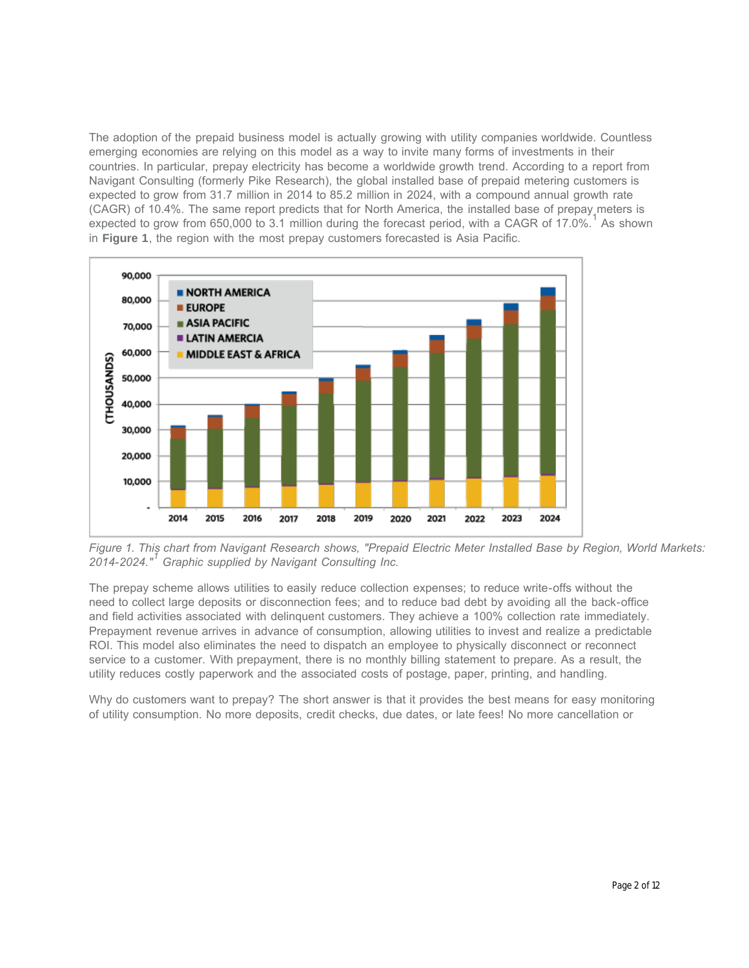The adoption of the prepaid business model is actually growing with utility companies worldwide. Countless emerging economies are relying on this model as a way to invite many forms of investments in their countries. In particular, prepay electricity has become a worldwide growth trend. According to a report from Navigant Consulting (formerly Pike Research), the global installed base of prepaid metering customers is expected to grow from 31.7 million in 2014 to 85.2 million in 2024, with a compound annual growth rate (CAGR) of 10.4%. The same report predicts that for North America, the installed base of prepay meters is expected to grow from 650,000 to 3.1 million during the forecast period, with a CAGR of 17.0%.<sup>1</sup> As shown in **Figure 1**, the region with the most prepay customers forecasted is Asia Pacific.



*Figure 1. This chart from Navigant Research shows, "Prepaid Electric Meter Installed Base by Region, World Markets: 2014-2024." Graphic supplied by Navigant Consulting Inc. 1*

The prepay scheme allows utilities to easily reduce collection expenses; to reduce write-offs without the need to collect large deposits or disconnection fees; and to reduce bad debt by avoiding all the back-office and field activities associated with delinquent customers. They achieve a 100% collection rate immediately. Prepayment revenue arrives in advance of consumption, allowing utilities to invest and realize a predictable ROI. This model also eliminates the need to dispatch an employee to physically disconnect or reconnect service to a customer. With prepayment, there is no monthly billing statement to prepare. As a result, the utility reduces costly paperwork and the associated costs of postage, paper, printing, and handling.

Why do customers want to prepay? The short answer is that it provides the best means for easy monitoring of utility consumption. No more deposits, credit checks, due dates, or late fees! No more cancellation or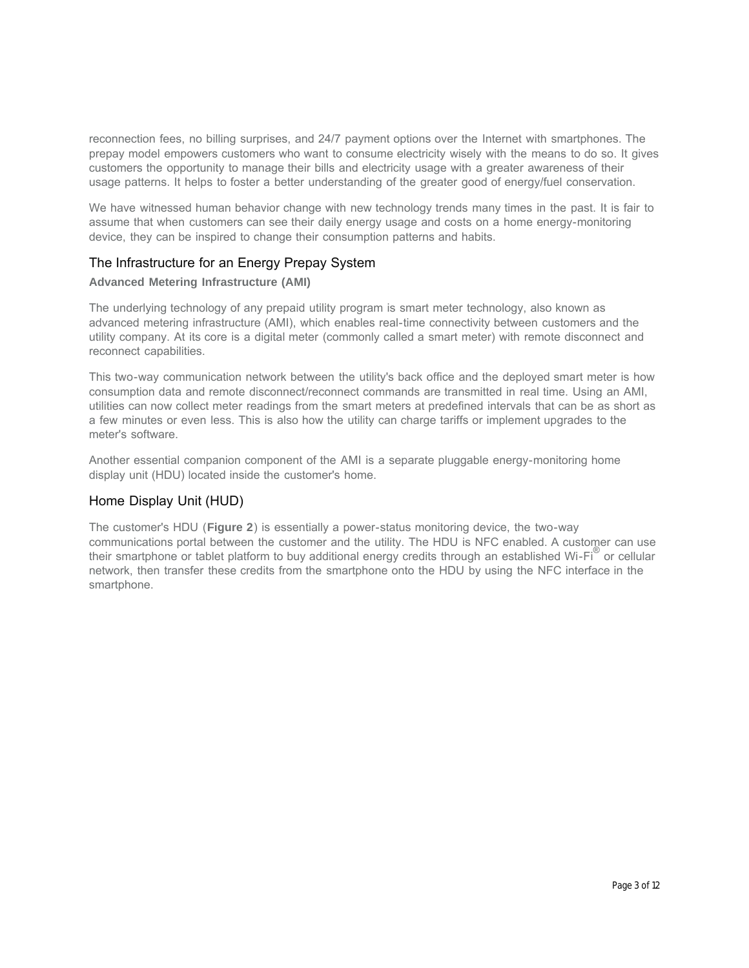reconnection fees, no billing surprises, and 24/7 payment options over the Internet with smartphones. The prepay model empowers customers who want to consume electricity wisely with the means to do so. It gives customers the opportunity to manage their bills and electricity usage with a greater awareness of their usage patterns. It helps to foster a better understanding of the greater good of energy/fuel conservation.

We have witnessed human behavior change with new technology trends many times in the past. It is fair to assume that when customers can see their daily energy usage and costs on a home energy-monitoring device, they can be inspired to change their consumption patterns and habits.

## The Infrastructure for an Energy Prepay System

#### **Advanced Metering Infrastructure (AMI)**

The underlying technology of any prepaid utility program is smart meter technology, also known as advanced metering infrastructure (AMI), which enables real-time connectivity between customers and the utility company. At its core is a digital meter (commonly called a smart meter) with remote disconnect and reconnect capabilities.

This two-way communication network between the utility's back office and the deployed smart meter is how consumption data and remote disconnect/reconnect commands are transmitted in real time. Using an AMI, utilities can now collect meter readings from the smart meters at predefined intervals that can be as short as a few minutes or even less. This is also how the utility can charge tariffs or implement upgrades to the meter's software.

Another essential companion component of the AMI is a separate pluggable energy-monitoring home display unit (HDU) located inside the customer's home.

## Home Display Unit (HUD)

The customer's HDU (**Figure 2**) is essentially a power-status monitoring device, the two-way communications portal between the customer and the utility. The HDU is NFC enabled. A customer can use their smartphone or tablet platform to buy additional energy credits through an established Wi-Fi® or cellular network, then transfer these credits from the smartphone onto the HDU by using the NFC interface in the smartphone.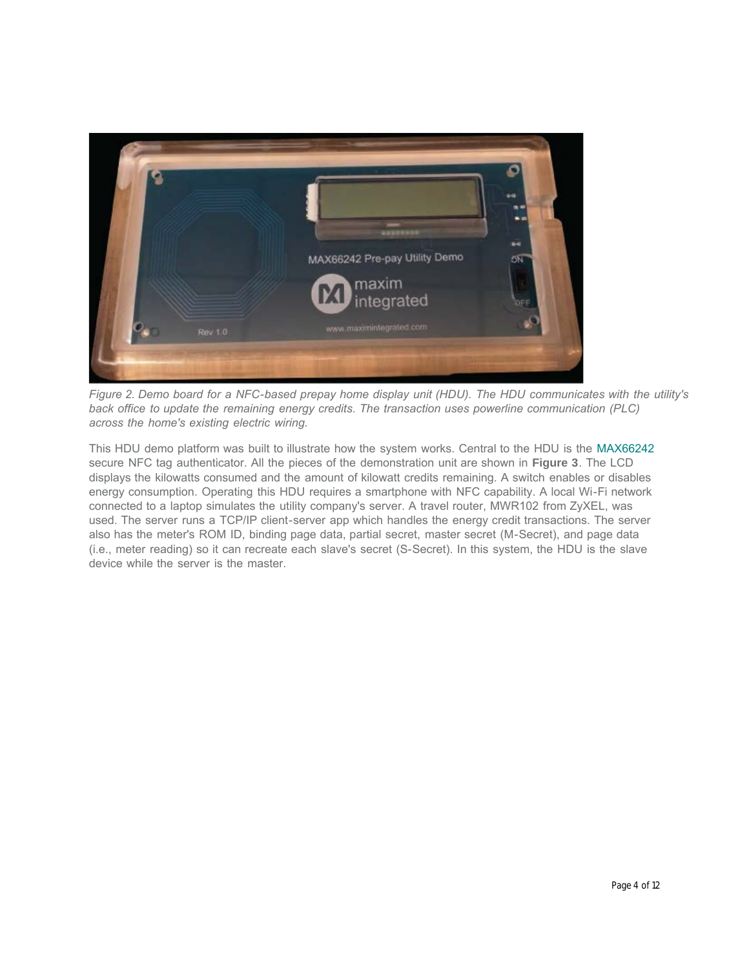

*Figure 2. Demo board for a NFC-based prepay home display unit (HDU). The HDU communicates with the utility's back office to update the remaining energy credits. The transaction uses powerline communication (PLC) across the home's existing electric wiring.*

This HDU demo platform was built to illustrate how the system works. Central to the HDU is the [MAX66242](https://www.maximintegrated.com/en/products/MAX66242) secure NFC tag authenticator. All the pieces of the demonstration unit are shown in **Figure 3**. The LCD displays the kilowatts consumed and the amount of kilowatt credits remaining. A switch enables or disables energy consumption. Operating this HDU requires a smartphone with NFC capability. A local Wi-Fi network connected to a laptop simulates the utility company's server. A travel router, MWR102 from ZyXEL, was used. The server runs a TCP/IP client-server app which handles the energy credit transactions. The server also has the meter's ROM ID, binding page data, partial secret, master secret (M-Secret), and page data (i.e., meter reading) so it can recreate each slave's secret (S-Secret). In this system, the HDU is the slave device while the server is the master.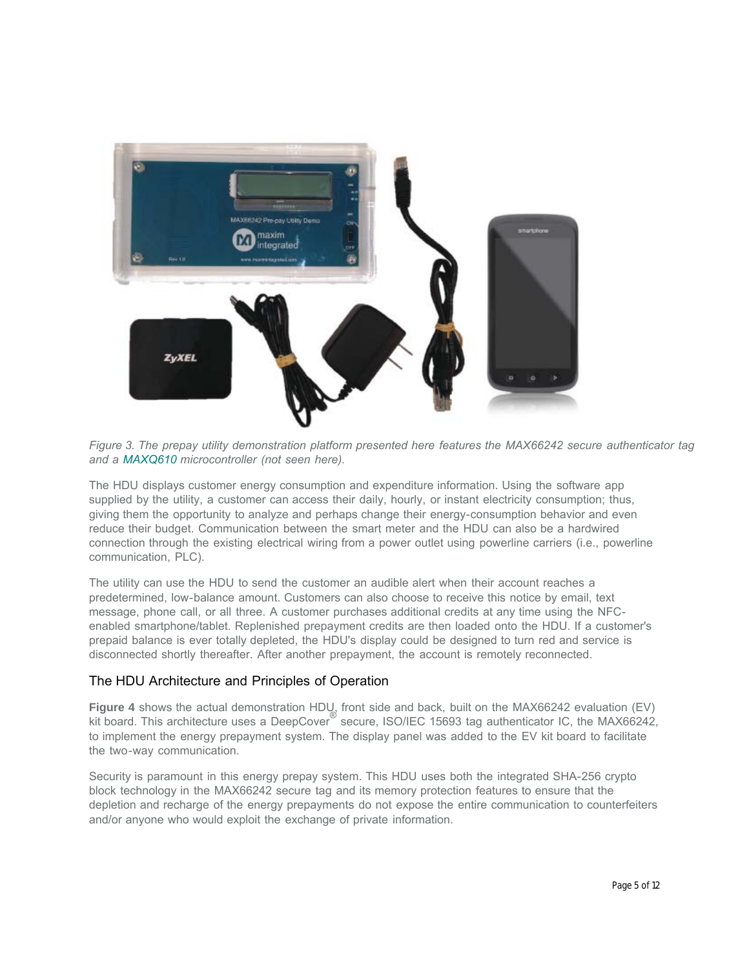

*Figure 3. The prepay utility demonstration platform presented here features the MAX66242 secure authenticator tag and a [MAXQ610](https://www.maximintegrated.com/en/products/MAXQ610) microcontroller (not seen here).*

The HDU displays customer energy consumption and expenditure information. Using the software app supplied by the utility, a customer can access their daily, hourly, or instant electricity consumption; thus, giving them the opportunity to analyze and perhaps change their energy-consumption behavior and even reduce their budget. Communication between the smart meter and the HDU can also be a hardwired connection through the existing electrical wiring from a power outlet using powerline carriers (i.e., powerline communication, PLC).

The utility can use the HDU to send the customer an audible alert when their account reaches a predetermined, low-balance amount. Customers can also choose to receive this notice by email, text message, phone call, or all three. A customer purchases additional credits at any time using the NFCenabled smartphone/tablet. Replenished prepayment credits are then loaded onto the HDU. If a customer's prepaid balance is ever totally depleted, the HDU's display could be designed to turn red and service is disconnected shortly thereafter. After another prepayment, the account is remotely reconnected.

## The HDU Architecture and Principles of Operation

**Figure 4** shows the actual demonstration HDU, front side and back, built on the MAX66242 evaluation (EV) kit board. This architecture uses a DeepCover<sup>®</sup> secure, ISO/IEC 15693 tag authenticator IC, the MAX66242, to implement the energy prepayment system. The display panel was added to the EV kit board to facilitate the two-way communication.

Security is paramount in this energy prepay system. This HDU uses both the integrated SHA-256 crypto block technology in the MAX66242 secure tag and its memory protection features to ensure that the depletion and recharge of the energy prepayments do not expose the entire communication to counterfeiters and/or anyone who would exploit the exchange of private information.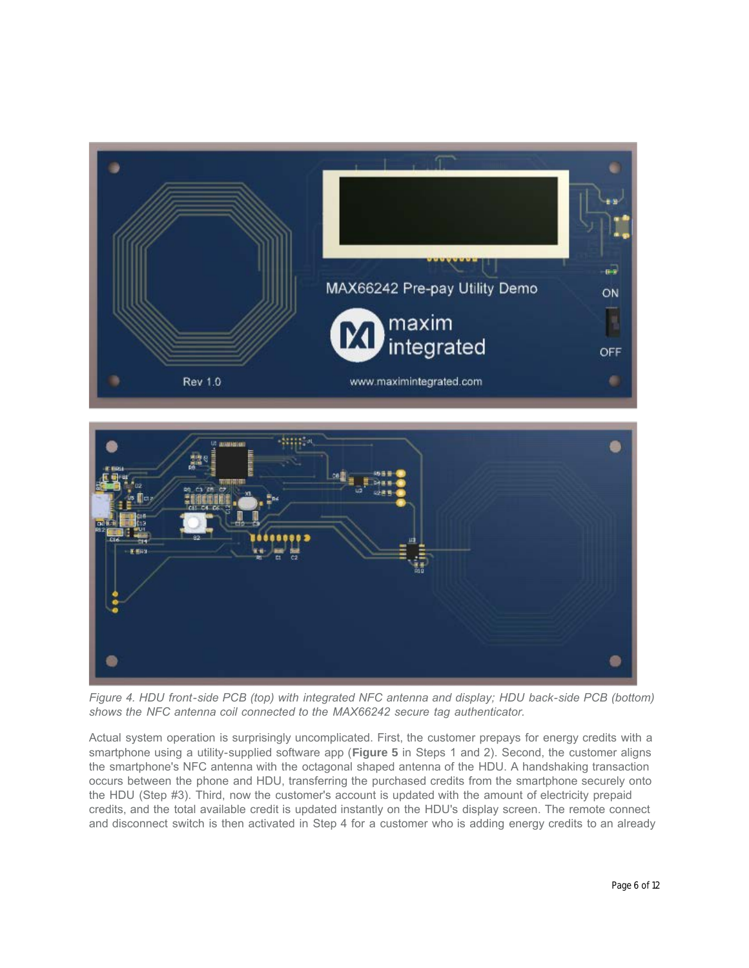



*Figure 4. HDU front-side PCB (top) with integrated NFC antenna and display; HDU back-side PCB (bottom) shows the NFC antenna coil connected to the MAX66242 secure tag authenticator.*

Actual system operation is surprisingly uncomplicated. First, the customer prepays for energy credits with a smartphone using a utility-supplied software app (**Figure 5** in Steps 1 and 2). Second, the customer aligns the smartphone's NFC antenna with the octagonal shaped antenna of the HDU. A handshaking transaction occurs between the phone and HDU, transferring the purchased credits from the smartphone securely onto the HDU (Step #3). Third, now the customer's account is updated with the amount of electricity prepaid credits, and the total available credit is updated instantly on the HDU's display screen. The remote connect and disconnect switch is then activated in Step 4 for a customer who is adding energy credits to an already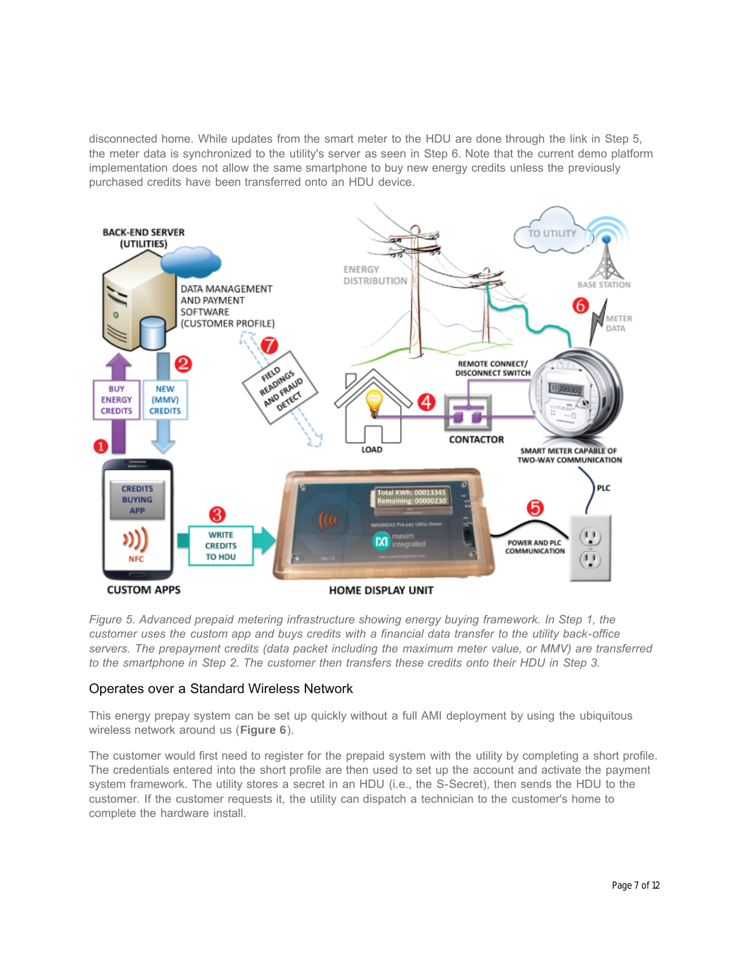disconnected home. While updates from the smart meter to the HDU are done through the link in Step 5, the meter data is synchronized to the utility's server as seen in Step 6. Note that the current demo platform implementation does not allow the same smartphone to buy new energy credits unless the previously purchased credits have been transferred onto an HDU device.



*Figure 5. Advanced prepaid metering infrastructure showing energy buying framework. In Step 1, the customer uses the custom app and buys credits with a financial data transfer to the utility back-office servers. The prepayment credits (data packet including the maximum meter value, or MMV) are transferred to the smartphone in Step 2. The customer then transfers these credits onto their HDU in Step 3.*

## Operates over a Standard Wireless Network

This energy prepay system can be set up quickly without a full AMI deployment by using the ubiquitous wireless network around us (**Figure 6**).

The customer would first need to register for the prepaid system with the utility by completing a short profile. The credentials entered into the short profile are then used to set up the account and activate the payment system framework. The utility stores a secret in an HDU (i.e., the S-Secret), then sends the HDU to the customer. If the customer requests it, the utility can dispatch a technician to the customer's home to complete the hardware install.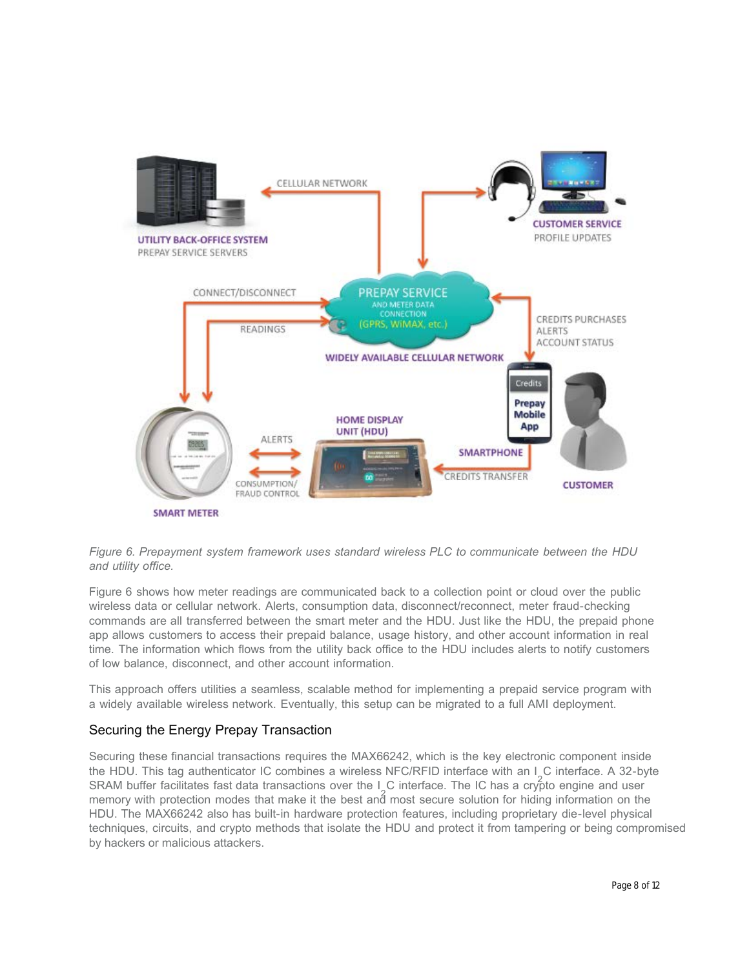

#### *Figure 6. Prepayment system framework uses standard wireless PLC to communicate between the HDU and utility office.*

Figure 6 shows how meter readings are communicated back to a collection point or cloud over the public wireless data or cellular network. Alerts, consumption data, disconnect/reconnect, meter fraud-checking commands are all transferred between the smart meter and the HDU. Just like the HDU, the prepaid phone app allows customers to access their prepaid balance, usage history, and other account information in real time. The information which flows from the utility back office to the HDU includes alerts to notify customers of low balance, disconnect, and other account information.

This approach offers utilities a seamless, scalable method for implementing a prepaid service program with a widely available wireless network. Eventually, this setup can be migrated to a full AMI deployment.

## Securing the Energy Prepay Transaction

Securing these financial transactions requires the MAX66242, which is the key electronic component inside the HDU. This tag authenticator IC combines a wireless NFC/RFID interface with an I C interface. A 32-byte SRAM buffer facilitates fast data transactions over the  $I_{\rm s}$ C interface. The IC has a crypto engine and user memory with protection modes that make it the best and most secure solution for hiding information on the HDU. The MAX66242 also has built-in hardware protection features, including proprietary die-level physical techniques, circuits, and crypto methods that isolate the HDU and protect it from tampering or being compromised by hackers or malicious attackers.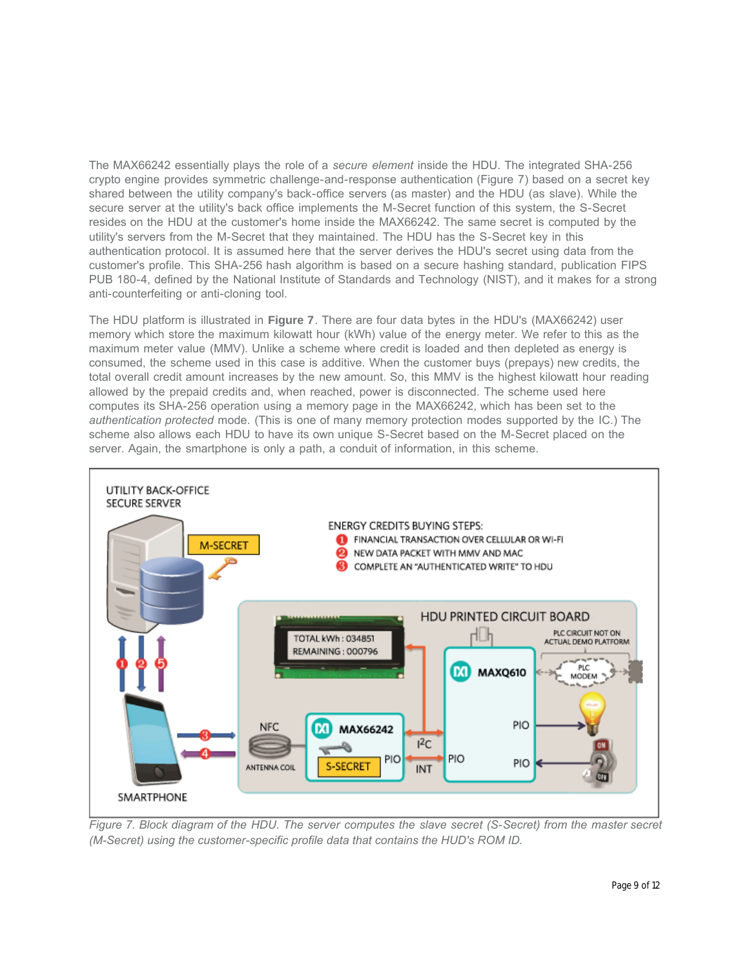The MAX66242 essentially plays the role of a *secure element* inside the HDU. The integrated SHA-256 crypto engine provides symmetric challenge-and-response authentication (Figure 7) based on a secret key shared between the utility company's back-office servers (as master) and the HDU (as slave). While the secure server at the utility's back office implements the M-Secret function of this system, the S-Secret resides on the HDU at the customer's home inside the MAX66242. The same secret is computed by the utility's servers from the M-Secret that they maintained. The HDU has the S-Secret key in this authentication protocol. It is assumed here that the server derives the HDU's secret using data from the customer's profile. This SHA-256 hash algorithm is based on a secure hashing standard, publication FIPS PUB 180-4, defined by the National Institute of Standards and Technology (NIST), and it makes for a strong anti-counterfeiting or anti-cloning tool.

The HDU platform is illustrated in **Figure 7**. There are four data bytes in the HDU's (MAX66242) user memory which store the maximum kilowatt hour (kWh) value of the energy meter. We refer to this as the maximum meter value (MMV). Unlike a scheme where credit is loaded and then depleted as energy is consumed, the scheme used in this case is additive. When the customer buys (prepays) new credits, the total overall credit amount increases by the new amount. So, this MMV is the highest kilowatt hour reading allowed by the prepaid credits and, when reached, power is disconnected. The scheme used here computes its SHA-256 operation using a memory page in the MAX66242, which has been set to the *authentication protected* mode. (This is one of many memory protection modes supported by the IC.) The scheme also allows each HDU to have its own unique S-Secret based on the M-Secret placed on the server. Again, the smartphone is only a path, a conduit of information, in this scheme.



*Figure 7. Block diagram of the HDU. The server computes the slave secret (S-Secret) from the master secret (M-Secret) using the customer-specific profile data that contains the HUD's ROM ID.*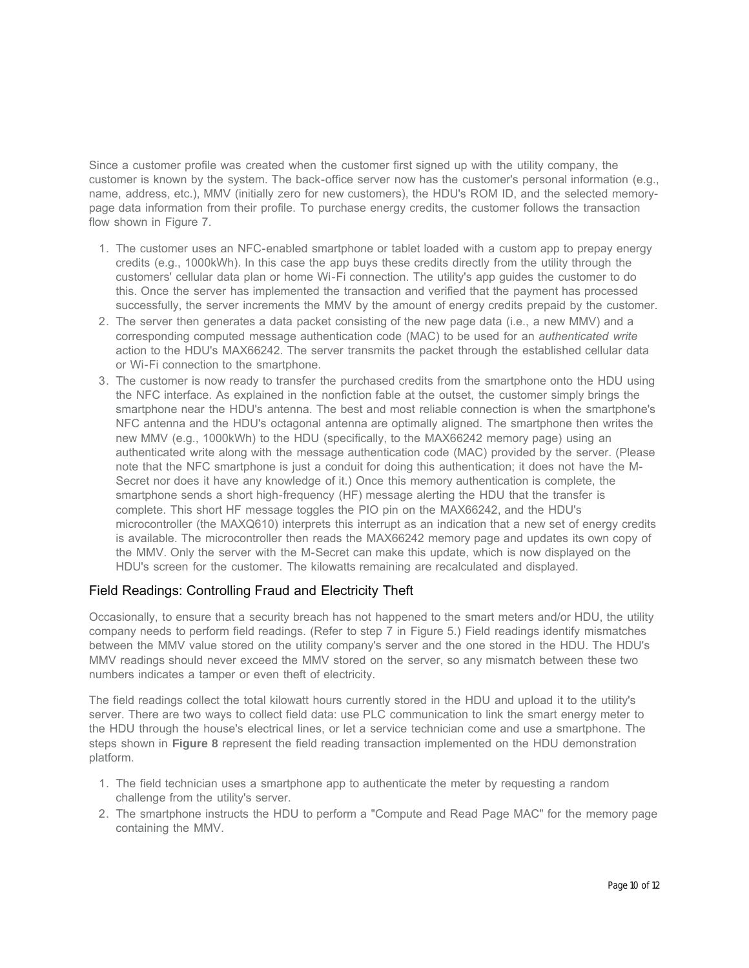Since a customer profile was created when the customer first signed up with the utility company, the customer is known by the system. The back-office server now has the customer's personal information (e.g., name, address, etc.), MMV (initially zero for new customers), the HDU's ROM ID, and the selected memorypage data information from their profile. To purchase energy credits, the customer follows the transaction flow shown in Figure 7.

- 1. The customer uses an NFC-enabled smartphone or tablet loaded with a custom app to prepay energy credits (e.g., 1000kWh). In this case the app buys these credits directly from the utility through the customers' cellular data plan or home Wi-Fi connection. The utility's app guides the customer to do this. Once the server has implemented the transaction and verified that the payment has processed successfully, the server increments the MMV by the amount of energy credits prepaid by the customer.
- 2. The server then generates a data packet consisting of the new page data (i.e., a new MMV) and a corresponding computed message authentication code (MAC) to be used for an *authenticated write* action to the HDU's MAX66242. The server transmits the packet through the established cellular data or Wi-Fi connection to the smartphone.
- 3. The customer is now ready to transfer the purchased credits from the smartphone onto the HDU using the NFC interface. As explained in the nonfiction fable at the outset, the customer simply brings the smartphone near the HDU's antenna. The best and most reliable connection is when the smartphone's NFC antenna and the HDU's octagonal antenna are optimally aligned. The smartphone then writes the new MMV (e.g., 1000kWh) to the HDU (specifically, to the MAX66242 memory page) using an authenticated write along with the message authentication code (MAC) provided by the server. (Please note that the NFC smartphone is just a conduit for doing this authentication; it does not have the M-Secret nor does it have any knowledge of it.) Once this memory authentication is complete, the smartphone sends a short high-frequency (HF) message alerting the HDU that the transfer is complete. This short HF message toggles the PIO pin on the MAX66242, and the HDU's microcontroller (the MAXQ610) interprets this interrupt as an indication that a new set of energy credits is available. The microcontroller then reads the MAX66242 memory page and updates its own copy of the MMV. Only the server with the M-Secret can make this update, which is now displayed on the HDU's screen for the customer. The kilowatts remaining are recalculated and displayed.

## Field Readings: Controlling Fraud and Electricity Theft

Occasionally, to ensure that a security breach has not happened to the smart meters and/or HDU, the utility company needs to perform field readings. (Refer to step 7 in Figure 5.) Field readings identify mismatches between the MMV value stored on the utility company's server and the one stored in the HDU. The HDU's MMV readings should never exceed the MMV stored on the server, so any mismatch between these two numbers indicates a tamper or even theft of electricity.

The field readings collect the total kilowatt hours currently stored in the HDU and upload it to the utility's server. There are two ways to collect field data: use PLC communication to link the smart energy meter to the HDU through the house's electrical lines, or let a service technician come and use a smartphone. The steps shown in **Figure 8** represent the field reading transaction implemented on the HDU demonstration platform.

- 1. The field technician uses a smartphone app to authenticate the meter by requesting a random challenge from the utility's server.
- 2. The smartphone instructs the HDU to perform a "Compute and Read Page MAC" for the memory page containing the MMV.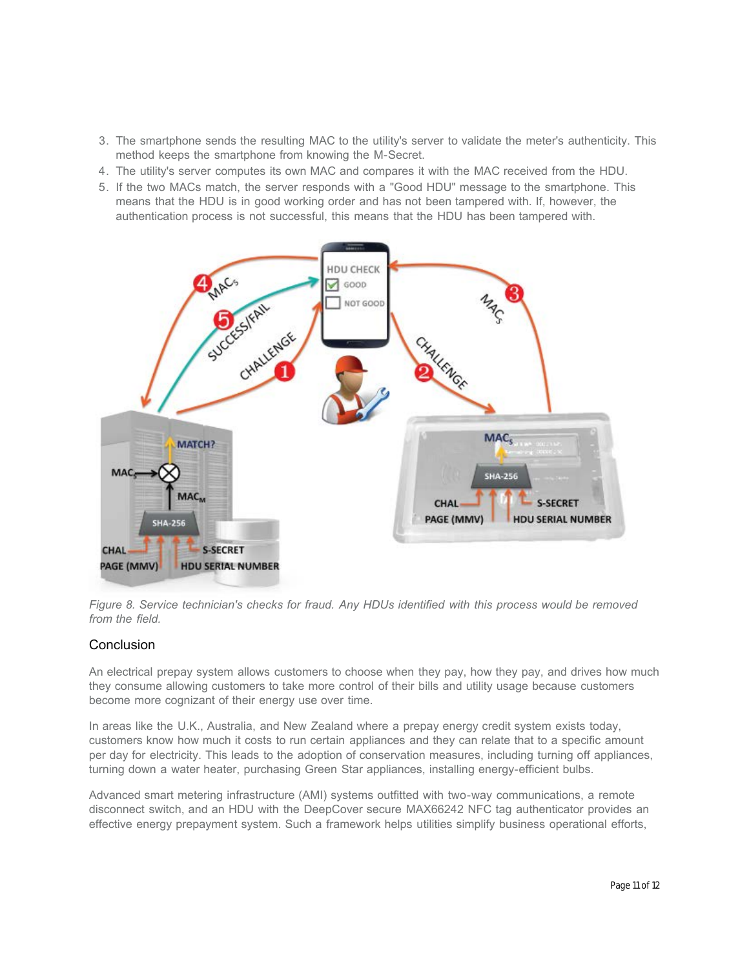- 3. The smartphone sends the resulting MAC to the utility's server to validate the meter's authenticity. This method keeps the smartphone from knowing the M-Secret.
- 4. The utility's server computes its own MAC and compares it with the MAC received from the HDU.
- 5. If the two MACs match, the server responds with a "Good HDU" message to the smartphone. This means that the HDU is in good working order and has not been tampered with. If, however, the authentication process is not successful, this means that the HDU has been tampered with.



*Figure 8. Service technician's checks for fraud. Any HDUs identified with this process would be removed from the field.*

## **Conclusion**

An electrical prepay system allows customers to choose when they pay, how they pay, and drives how much they consume allowing customers to take more control of their bills and utility usage because customers become more cognizant of their energy use over time.

In areas like the U.K., Australia, and New Zealand where a prepay energy credit system exists today, customers know how much it costs to run certain appliances and they can relate that to a specific amount per day for electricity. This leads to the adoption of conservation measures, including turning off appliances, turning down a water heater, purchasing Green Star appliances, installing energy-efficient bulbs.

Advanced smart metering infrastructure (AMI) systems outfitted with two-way communications, a remote disconnect switch, and an HDU with the DeepCover secure MAX66242 NFC tag authenticator provides an effective energy prepayment system. Such a framework helps utilities simplify business operational efforts,